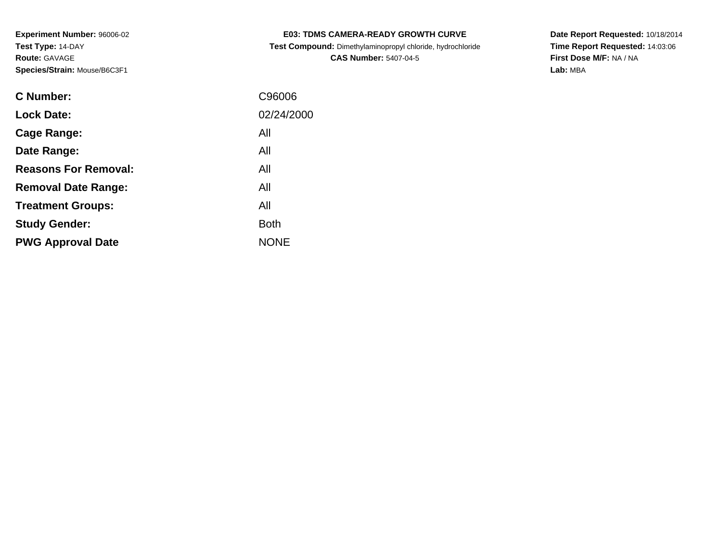| <b>E03: TDMS CAMERA-READY GROWTH CURVE</b>              |
|---------------------------------------------------------|
| oot Compound: Dimethylominessenyl ehleride, budreebleri |

 **Test Compound:** Dimethylaminopropyl chloride, hydrochloride**CAS Number:** 5407-04-5

**Date Report Requested:** 10/18/2014 **Time Report Requested:** 14:03:06**First Dose M/F:** NA / NA**Lab:** MBA

| <b>C</b> Number:            | C96006      |
|-----------------------------|-------------|
| <b>Lock Date:</b>           | 02/24/2000  |
| Cage Range:                 | All         |
| Date Range:                 | All         |
| <b>Reasons For Removal:</b> | All         |
| <b>Removal Date Range:</b>  | All         |
| <b>Treatment Groups:</b>    | All         |
| <b>Study Gender:</b>        | <b>Both</b> |
| <b>PWG Approval Date</b>    | <b>NONE</b> |
|                             |             |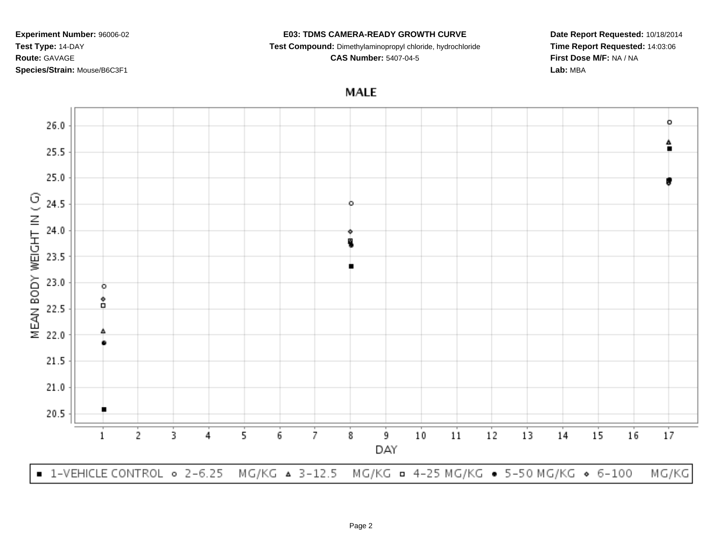#### **E03: TDMS CAMERA-READY GROWTH CURVE**

**Test Compound:** Dimethylaminopropyl chloride, hydrochloride

**CAS Number:** 5407-04-5

**Date Report Requested:** 10/18/2014**Time Report Requested:** 14:03:06**First Dose M/F:** NA / NA**Lab:** MBA

**MALE** 

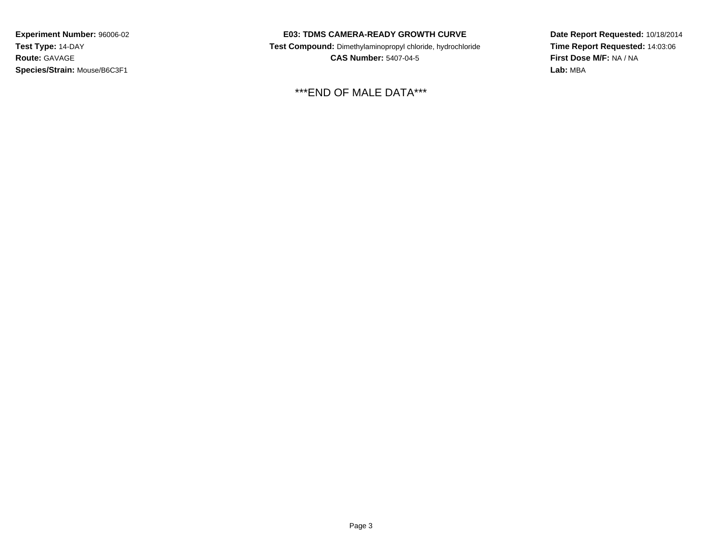### **E03: TDMS CAMERA-READY GROWTH CURVE**

 **Test Compound:** Dimethylaminopropyl chloride, hydrochloride**CAS Number:** 5407-04-5

\*\*\*END OF MALE DATA\*\*\*

**Date Report Requested:** 10/18/2014**Time Report Requested:** 14:03:06**First Dose M/F:** NA / NA**Lab:** MBA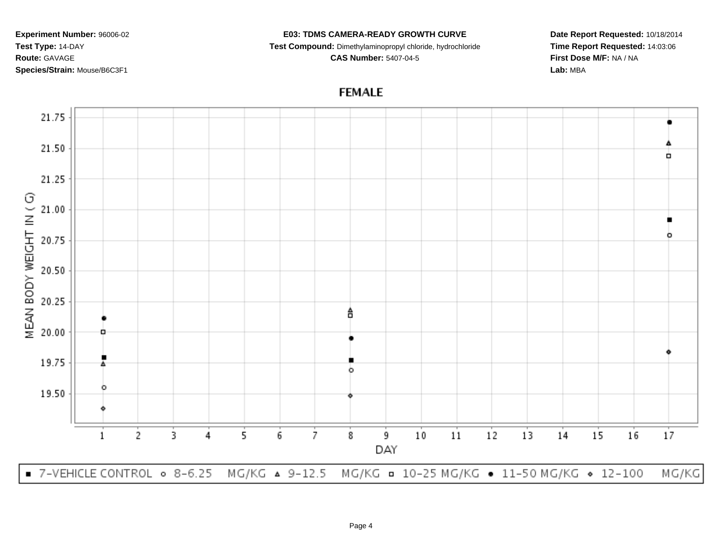#### **E03: TDMS CAMERA-READY GROWTH CURVE**

**Test Compound:** Dimethylaminopropyl chloride, hydrochloride

**CAS Number:** 5407-04-5

**Date Report Requested:** 10/18/2014**Time Report Requested:** 14:03:06**First Dose M/F:** NA / NA**Lab:** MBA

# **FEMALE**